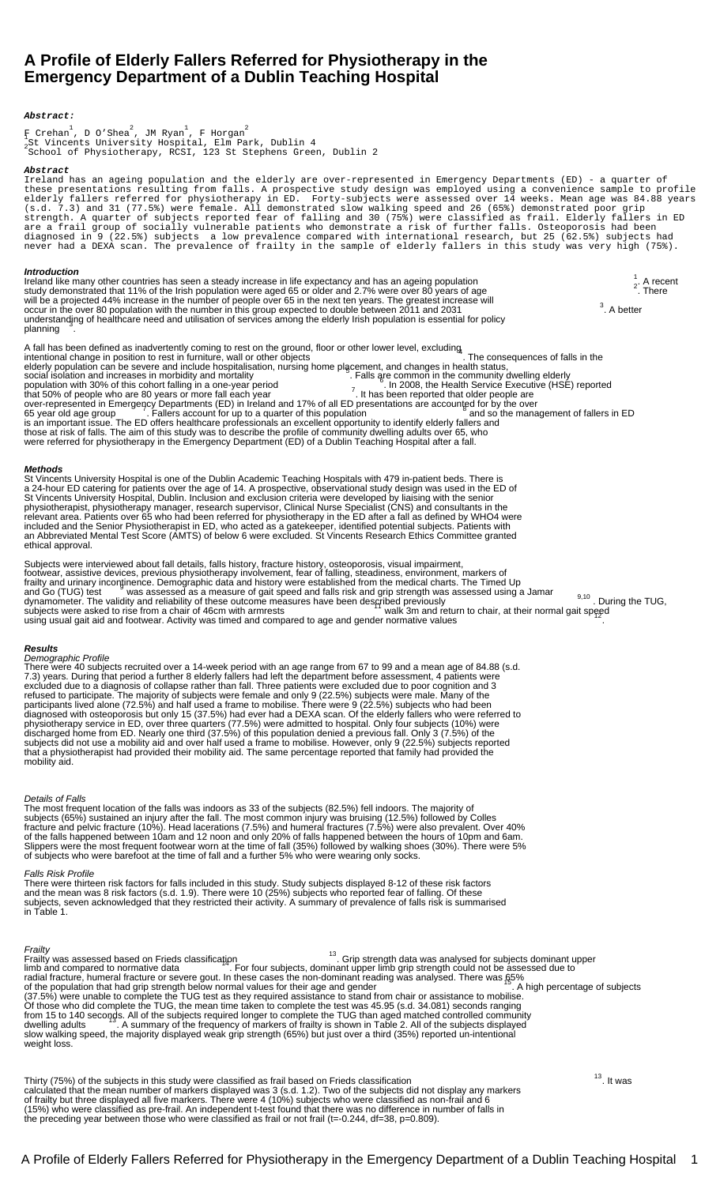# **A Profile of Elderly Fallers Referred for Physiotherapy in the Emergency Department of a Dublin Teaching Hospital**

# **Abstract:**

 $\rm{F~Crehan}^1$ , D O'Shea $^2$ , JM Ryan $^1$ , F Horgan $^2$ 1 St Vincentâs University Hospital, Elm Park, Dublin 4 <sup>2</sup> School of Physiotherapy, RCSI, 123 St Stephenâs Green, Dublin 2

## **Abstract**

Ireland has an ageing population and the elderly are over-represented in Emergency Departments (ED) - a quarter of these presentations resulting from falls. A prospective study design was employed using a convenience sample to profile elderly fallers referred for physiotherapy in ED. Forty-subjects were assessed over 14 weeks. Mean age was 84.88 years (s.d. 7.3) and 31 (77.5%) were female. All demonstrated slow walking speed and 26 (65%) demonstrated poor grip strength. A quarter of subjects reported fear of falling and 30 (75%) were classified as frail. Elderly fallers in ED are a frail group of socially vulnerable patients who demonstrate a risk of further falls. Osteoporosis had been diagnosed in 9 (22.5%) subjects â a low prevalence compared with international research, but 25 (62.5%) subjects had never had a DEXA scan. The prevalence of frailty in the sample of elderly fallers in this study was very high (75%).

**Introduction**<br>Ireland like many other countries has seen a steady increase in life expectancy and has an ageing population **1** . A recent study demonstrated that 11% of the Irish population were aged 65 or older and 2.7% were over 80 years of age 200 permits and 2.7% were over 80 years of age . There will be a projected 44% increase in the number of people over 65 in the next ten years. The greatest increase will<br>occur in the over 80 population with the number in this group expected to double between 2011 and 2031  $3.$  A better understandjng of healthcare need and utilisation of services among the elderly Irish population is essential for policy<br>planning A fall has been defined as â inadvertently coming to rest on the ground, floor or other lower level, excluding<br>intentional change in position to rest in furniture, wall or other objectsâ elderly population can be severe and include hospitalisation, nursing home placement, and changes in health status,<br>social isolation and increases in morbidity and mortality<br>population with 30% of this cohort falling in a over-represented in Emergency Departments (ED) in Ireland and 17% of all ED presentations are accounted for by the over<br>65 year old age group \_\_\_\_\_\_\_\_\_. Fallers account for up to a quarter of this population \_\_\_\_\_\_\_\_\_\_\_\_\_\_ is an important issue. The ED offers healthcare professionals an excellent opportunity to identify elderly fallers and those at risk of falls. The aim of this study was to describe the profile of community dwelling adults over 65, who were referred for physiotherapy in the Emergency Department (ED) of a Dublin Teaching Hospital after a fall. **Methods** St Vincentâs University Hospital is one of the Dublin Academic Teaching Hospitals with 479 in-patient beds. There is a 24-hour ED catering for patients over the age of 14. A prospective, observational study design was used in the ED of St Vincentâs University Hospital, Dublin. Inclusion and exclusion criteria were developed by liaising with the senior physiotherapist, physiotherapy manager, research supervisor, Clinical Nurse Specialist (CNS) and consultants in the

relevant area. Patients over 65 who had been referred for physiotherapy in the ED after a fall as defined by WHO4 were included and the Senior Physiotherapist in ED, who acted as a gatekeeper, identified potential subjects. Patients with an Abbreviated Mental Test Score (AMTS) of below 6 were excluded. St Vincentâs Research Ethics Committee granted ethical approval.

Subjects were interviewed about fall details, falls history, fracture history, osteoporosis, visual impairment, footwear, assistive devices, previous physiotherapy involvement, fear of falling, steadiness, environment, markers of<br>frailty and urinary incontinence. Demographic data and history were established from the medical charts. subjects were asked to rise from a chair of 46cm with armrests <sup>11</sup> walk 3m and return to chair, at their normal gait speed using usual gait aid and footwear. Activity was timed and compared to age and gender normative values

**Results** Demographic Profile

There were 40 subjects recruited over a 14-week period with an age range from 67 to 99 and a mean age of 84.88 (s.d. 7.3) years. During that period a further 8 elderly fallers had left the department before assessment, 4 patients were excluded due to a diagnosis of collapse rather than fall. Three patients were excluded due to poor cognition and 3 refused to participate. The majority of subjects were female and only 9 (22.5%) subjects were male. Many of the participants lived alone (72.5%) and half used a frame to mobilise. There were 9 (22.5%) subjects who had been diagnosed with osteoporosis but only 15 (37.5%) had ever had a DEXA scan. Of the elderly fallers who were referred to physiotherapy service in ED, over three quarters (77.5%) were admitted to hospital. Only four subjects (10%) were discharged home from ED. Nearly one third (37.5%) of this population denied a previous fall. Only 3 (7.5%) of the subjects did not use a mobility aid and over half used a frame to mobilise. However, only 9 (22.5%) subjects reported that a physiotherapist had provided their mobility aid. The same percentage reported that family had provided the mobility aid.

# Details of Falls

The most frequent location of the falls was indoors as 33 of the subjects (82.5%) fell indoors. The majority of subjects (65%) sustained an injury after the fall. The most common injury was bruising (12.5%) followed by Colles fracture and pelvic fracture (10%). Head lacerations (7.5%) and humeral fractures (7.5%) were also prevalent. Over 40% of the falls happened between 10am and 12 noon and only 20% of falls happened between the hours of 10pm and 6am. Slippers were the most frequent footwear worn at the time of fall (35%) followed by walking shoes (30%). There were 5% of subjects who were barefoot at the time of fall and a further 5% who were wearing only socks.

# Falls Risk Profile

There were thirteen risk factors for falls included in this study. Study subjects displayed 8-12 of these risk factors and the mean was 8 risk factors (s.d. 1.9). There were 10 (25%) subjects who reported fear of falling. Of these subjects, seven acknowledged that they restricted their activity. A summary of prevalence of falls risk is summarised in Table 1.

Frailty<br>Frailty was assessed based on Friedâ s classification **13**. Grip strength data was analysed for subjectsâ dominant upper limb and compared to normative data <sup>14</sup>. For four subjects, dominant upper limb grip strength could not be assessed due to radial fracture, humeral fracture or severe gout. In these cases the non-dominant reading was analysed. There was 65%<br>of the population that had grip strength below normal values for their age and gender (37.5%) were unable to complete the TUG test as they required assistance to stand from chair or assistance to mobilise. Of those who did complete the TUG, the mean time taken to complete the test was 45.95 (s.d. 34.081) seconds ranging from 15 to 140 seconds. All of the subjects required longer to complete the TUG than aged matched controlled community<br>dwelling adults \_\_\_\_\_\_\_. A summary of the frequency of markers of frailty is shown in Table 2. All of t slow walking speed, the majority displayed weak grip strength (65%) but just over a third (35%) reported un-intentional weight loss.

Thirty (75%) of the subjects in this study were classified as frail based on Friedâ s classification  $13.$  It was calculated that the mean number of markers displayed was 3 (s.d. 1.2). Two of the subjects did not display any markers of frailty but three displayed all five markers. There were 4 (10%) subjects who were classified as non-frail and 6 (15%) who were classified as pre-frail. An independent t-test found that there was no difference in number of falls in the preceding year between those who were classified as frail or not frail (t=-0.244, df=38, p=0.809).